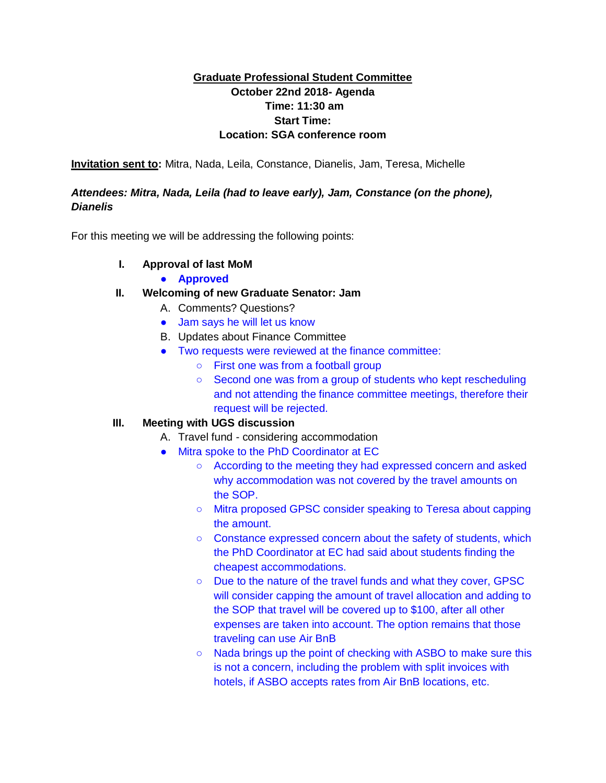## **Graduate Professional Student Committee October 22nd 2018- Agenda Time: 11:30 am Start Time: Location: SGA conference room**

**Invitation sent to:** Mitra, Nada, Leila, Constance, Dianelis, Jam, Teresa, Michelle

## *Attendees: Mitra, Nada, Leila (had to leave early), Jam, Constance (on the phone), Dianelis*

For this meeting we will be addressing the following points:

## **I. Approval of last MoM**

● **Approved**

## **II. Welcoming of new Graduate Senator: Jam**

- A. Comments? Questions?
- Jam says he will let us know
- B. Updates about Finance Committee
- Two requests were reviewed at the finance committee:
	- First one was from a football group
	- Second one was from a group of students who kept rescheduling and not attending the finance committee meetings, therefore their request will be rejected.

## **III. Meeting with UGS discussion**

- A. Travel fund considering accommodation
- Mitra spoke to the PhD Coordinator at EC
	- According to the meeting they had expressed concern and asked why accommodation was not covered by the travel amounts on the SOP.
	- Mitra proposed GPSC consider speaking to Teresa about capping the amount.
	- Constance expressed concern about the safety of students, which the PhD Coordinator at EC had said about students finding the cheapest accommodations.
	- Due to the nature of the travel funds and what they cover, GPSC will consider capping the amount of travel allocation and adding to the SOP that travel will be covered up to \$100, after all other expenses are taken into account. The option remains that those traveling can use Air BnB
	- Nada brings up the point of checking with ASBO to make sure this is not a concern, including the problem with split invoices with hotels, if ASBO accepts rates from Air BnB locations, etc.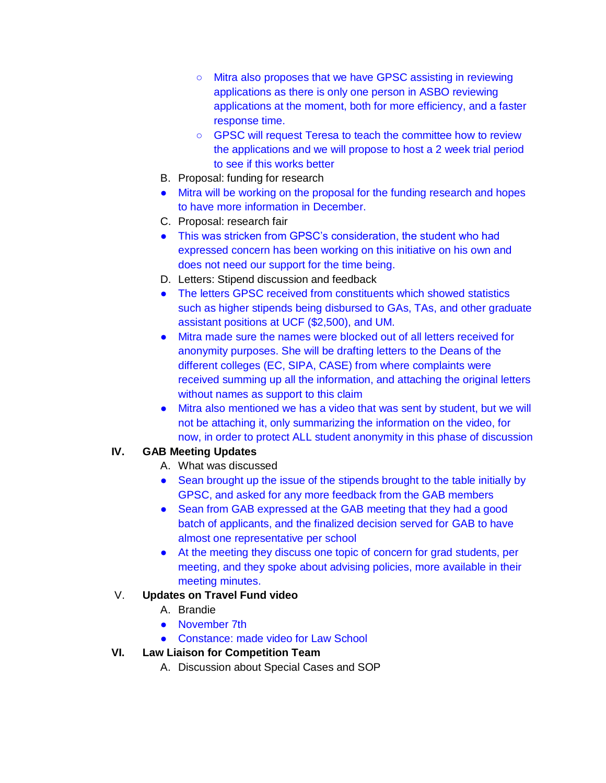- Mitra also proposes that we have GPSC assisting in reviewing applications as there is only one person in ASBO reviewing applications at the moment, both for more efficiency, and a faster response time.
- GPSC will request Teresa to teach the committee how to review the applications and we will propose to host a 2 week trial period to see if this works better
- B. Proposal: funding for research
- Mitra will be working on the proposal for the funding research and hopes to have more information in December.
- C. Proposal: research fair
- This was stricken from GPSC's consideration, the student who had expressed concern has been working on this initiative on his own and does not need our support for the time being.
- D. Letters: Stipend discussion and feedback
- The letters GPSC received from constituents which showed statistics such as higher stipends being disbursed to GAs, TAs, and other graduate assistant positions at UCF (\$2,500), and UM.
- Mitra made sure the names were blocked out of all letters received for anonymity purposes. She will be drafting letters to the Deans of the different colleges (EC, SIPA, CASE) from where complaints were received summing up all the information, and attaching the original letters without names as support to this claim
- Mitra also mentioned we has a video that was sent by student, but we will not be attaching it, only summarizing the information on the video, for now, in order to protect ALL student anonymity in this phase of discussion

# **IV. GAB Meeting Updates**

- A. What was discussed
- Sean brought up the issue of the stipends brought to the table initially by GPSC, and asked for any more feedback from the GAB members
- Sean from GAB expressed at the GAB meeting that they had a good batch of applicants, and the finalized decision served for GAB to have almost one representative per school
- At the meeting they discuss one topic of concern for grad students, per meeting, and they spoke about advising policies, more available in their meeting minutes.

# V. **Updates on Travel Fund video**

- A. Brandie
- November 7th
- Constance: made video for Law School

## **VI. Law Liaison for Competition Team**

A. Discussion about Special Cases and SOP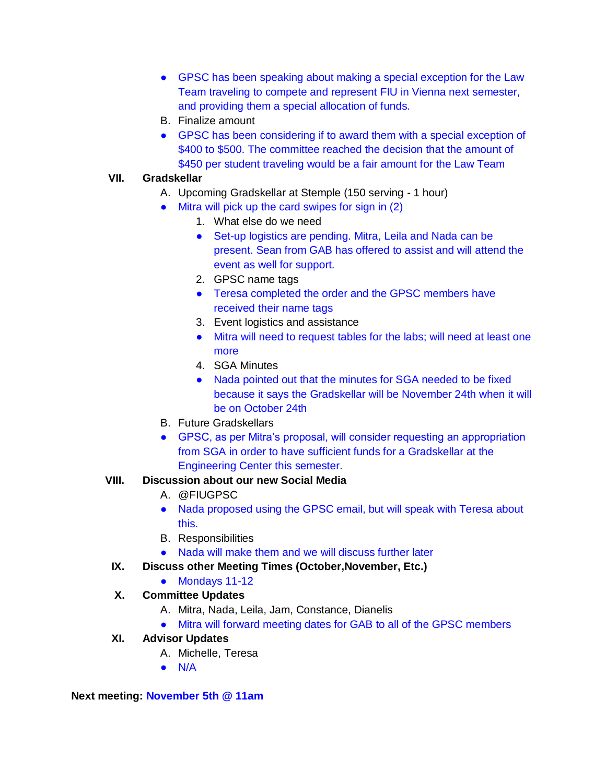- GPSC has been speaking about making a special exception for the Law Team traveling to compete and represent FIU in Vienna next semester, and providing them a special allocation of funds.
- B. Finalize amount
- GPSC has been considering if to award them with a special exception of \$400 to \$500. The committee reached the decision that the amount of \$450 per student traveling would be a fair amount for the Law Team

#### **VII. Gradskellar**

- A. Upcoming Gradskellar at Stemple (150 serving 1 hour)
- Mitra will pick up the card swipes for sign in (2)
	- 1. What else do we need
	- Set-up logistics are pending. Mitra, Leila and Nada can be present. Sean from GAB has offered to assist and will attend the event as well for support.
	- 2. GPSC name tags
	- Teresa completed the order and the GPSC members have received their name tags
	- 3. Event logistics and assistance
	- Mitra will need to request tables for the labs; will need at least one more
	- 4. SGA Minutes
	- Nada pointed out that the minutes for SGA needed to be fixed because it says the Gradskellar will be November 24th when it will be on October 24th
- B. Future Gradskellars
- GPSC, as per Mitra's proposal, will consider requesting an appropriation from SGA in order to have sufficient funds for a Gradskellar at the Engineering Center this semester.

#### **VIII. Discussion about our new Social Media**

- A. @FIUGPSC
- Nada proposed using the GPSC email, but will speak with Teresa about this.
- B. Responsibilities
- Nada will make them and we will discuss further later
- **IX. Discuss other Meeting Times (October,November, Etc.)**
	- Mondays 11-12

## **X. Committee Updates**

- A. Mitra, Nada, Leila, Jam, Constance, Dianelis
- Mitra will forward meeting dates for GAB to all of the GPSC members

#### **XI. Advisor Updates**

- A. Michelle, Teresa
- $\bullet$  N/A

#### **Next meeting: November 5th @ 11am**